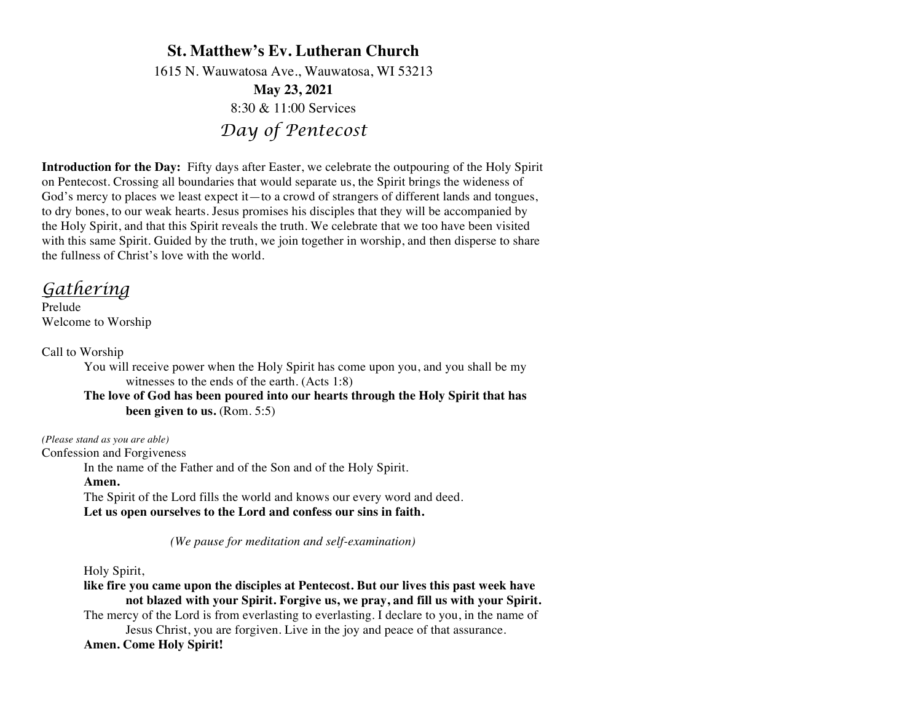**St. Matthew's Ev. Lutheran Church** 1615 N. Wauwatosa Ave., Wauwatosa, WI 53213 **May 23, 2021** 8:30 & 11:00 Services *Day of Pentecost*

**Introduction for the Day:** Fifty days after Easter, we celebrate the outpouring of the Holy Spirit on Pentecost. Crossing all boundaries that would separate us, the Spirit brings the wideness of God's mercy to places we least expect it—to a crowd of strangers of different lands and tongues, to dry bones, to our weak hearts. Jesus promises his disciples that they will be accompanied by the Holy Spirit, and that this Spirit reveals the truth. We celebrate that we too have been visited with this same Spirit. Guided by the truth, we join together in worship, and then disperse to share the fullness of Christ's love with the world.

# *Gathering*

Prelude Welcome to Worship

Call to Worship

You will receive power when the Holy Spirit has come upon you, and you shall be my witnesses to the ends of the earth. (Acts 1:8)

**The love of God has been poured into our hearts through the Holy Spirit that has been given to us.** (Rom. 5:5)

*(Please stand as you are able)*

Confession and Forgiveness

In the name of the Father and of the Son and of the Holy Spirit.

**Amen.**

The Spirit of the Lord fills the world and knows our every word and deed. **Let us open ourselves to the Lord and confess our sins in faith.**

 *(We pause for meditation and self-examination)*

Holy Spirit,

**like fire you came upon the disciples at Pentecost. But our lives this past week have not blazed with your Spirit. Forgive us, we pray, and fill us with your Spirit.** The mercy of the Lord is from everlasting to everlasting. I declare to you, in the name of Jesus Christ, you are forgiven. Live in the joy and peace of that assurance. **Amen. Come Holy Spirit!**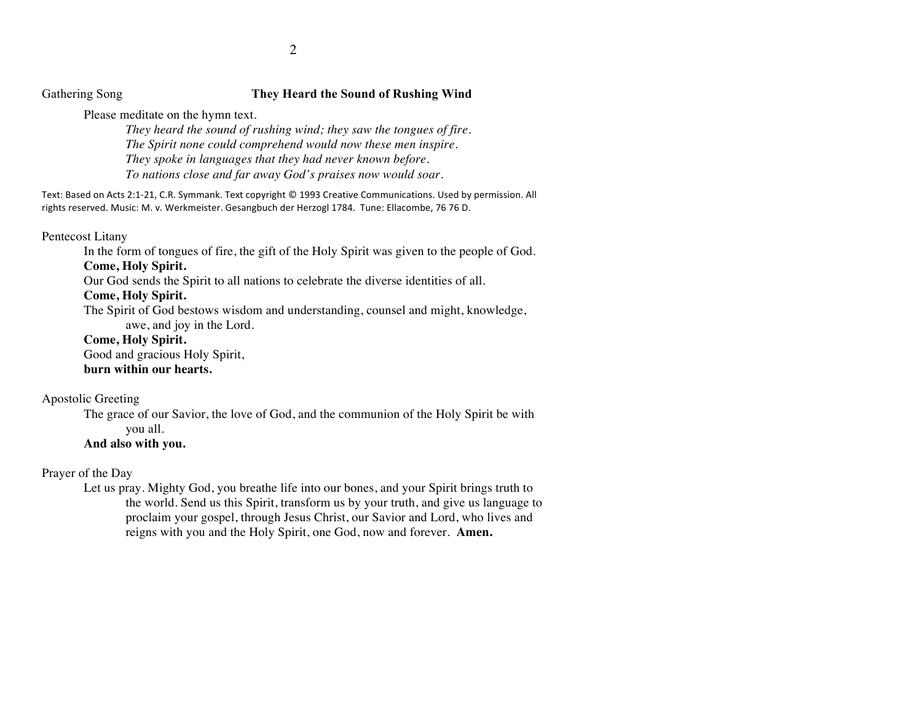# Gathering Song **They Heard the Sound of Rushing Wind**

Please meditate on the hymn text.

*They heard the sound of rushing wind; they saw the tongues of fire. The Spirit none could comprehend would now these men inspire. They spoke in languages that they had never known before. To nations close and far away God's praises now would soar.*

Text: Based on Acts 2:1-21, C.R. Symmank. Text copyright © 1993 Creative Communications. Used by permission. All rights reserved. Music: M. v. Werkmeister. Gesangbuch der Herzogl 1784. Tune: Ellacombe, 76 76 D.

Pentecost Litany

In the form of tongues of fire, the gift of the Holy Spirit was given to the people of God. **Come, Holy Spirit.**

Our God sends the Spirit to all nations to celebrate the diverse identities of all.

#### **Come, Holy Spirit.**

The Spirit of God bestows wisdom and understanding, counsel and might, knowledge, awe, and joy in the Lord.

#### **Come, Holy Spirit.**

Good and gracious Holy Spirit, **burn within our hearts.**

Apostolic Greeting

The grace of our Savior, the love of God, and the communion of the Holy Spirit be with you all.

# **And also with you.**

Prayer of the Day

Let us pray. Mighty God, you breathe life into our bones, and your Spirit brings truth to the world. Send us this Spirit, transform us by your truth, and give us language to proclaim your gospel, through Jesus Christ, our Savior and Lord, who lives and reigns with you and the Holy Spirit, one God, now and forever. **Amen.**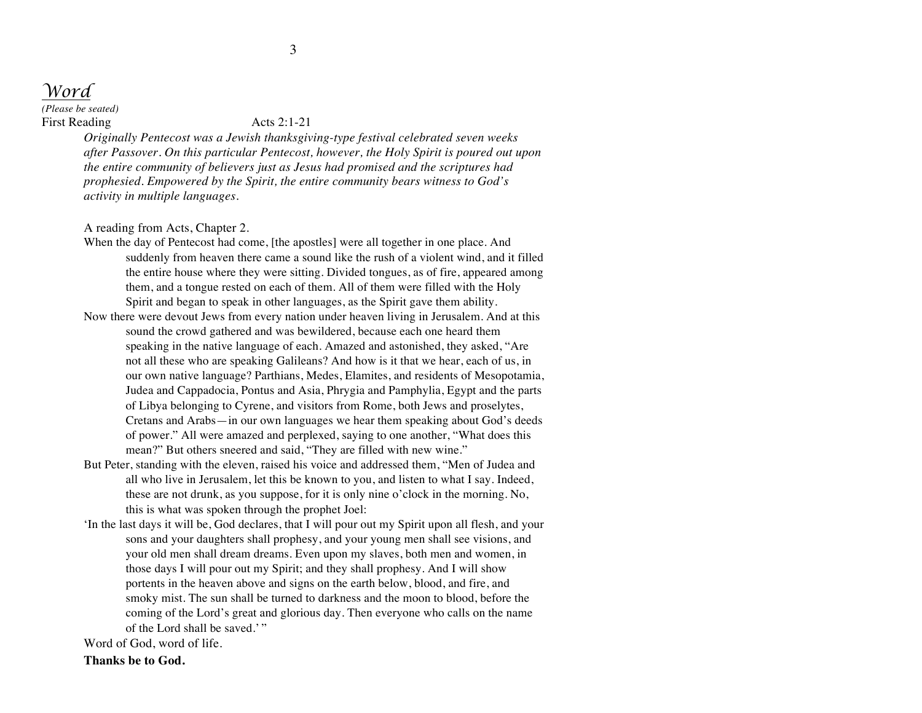# *Word*

*(Please be seated)* First Reading Acts 2:1-21

*Originally Pentecost was a Jewish thanksgiving-type festival celebrated seven weeks after Passover. On this particular Pentecost, however, the Holy Spirit is poured out upon the entire community of believers just as Jesus had promised and the scriptures had prophesied. Empowered by the Spirit, the entire community bears witness to God's activity in multiple languages.*

A reading from Acts, Chapter 2.

- When the day of Pentecost had come, [the apostles] were all together in one place. And suddenly from heaven there came a sound like the rush of a violent wind, and it filled the entire house where they were sitting. Divided tongues, as of fire, appeared among them, and a tongue rested on each of them. All of them were filled with the Holy Spirit and began to speak in other languages, as the Spirit gave them ability.
- Now there were devout Jews from every nation under heaven living in Jerusalem. And at this sound the crowd gathered and was bewildered, because each one heard them speaking in the native language of each. Amazed and astonished, they asked, "Are not all these who are speaking Galileans? And how is it that we hear, each of us, in our own native language? Parthians, Medes, Elamites, and residents of Mesopotamia, Judea and Cappadocia, Pontus and Asia, Phrygia and Pamphylia, Egypt and the parts of Libya belonging to Cyrene, and visitors from Rome, both Jews and proselytes, Cretans and Arabs—in our own languages we hear them speaking about God's deeds of power." All were amazed and perplexed, saying to one another, "What does this mean?" But others sneered and said, "They are filled with new wine."
- But Peter, standing with the eleven, raised his voice and addressed them, "Men of Judea and all who live in Jerusalem, let this be known to you, and listen to what I say. Indeed, these are not drunk, as you suppose, for it is only nine o'clock in the morning. No, this is what was spoken through the prophet Joel:
- 'In the last days it will be, God declares, that I will pour out my Spirit upon all flesh, and your sons and your daughters shall prophesy, and your young men shall see visions, and your old men shall dream dreams. Even upon my slaves, both men and women, in those days I will pour out my Spirit; and they shall prophesy. And I will show portents in the heaven above and signs on the earth below, blood, and fire, and smoky mist. The sun shall be turned to darkness and the moon to blood, before the coming of the Lord's great and glorious day. Then everyone who calls on the name of the Lord shall be saved.' "

Word of God, word of life.

### **Thanks be to God.**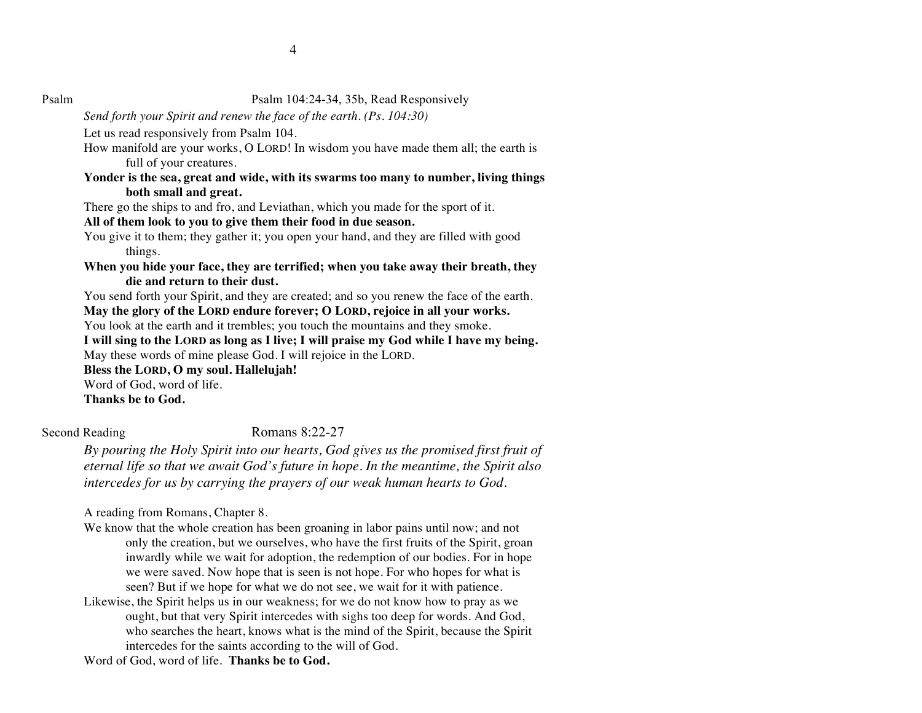*Send forth your Spirit and renew the face of the earth. (Ps. 104:30)*

Let us read responsively from Psalm 104.

How manifold are your works, O LORD! In wisdom you have made them all; the earth is full of your creatures.

**Yonder is the sea, great and wide, with its swarms too many to number, living things both small and great.**

There go the ships to and fro, and Leviathan, which you made for the sport of it.

# **All of them look to you to give them their food in due season.**

You give it to them; they gather it; you open your hand, and they are filled with good things.

**When you hide your face, they are terrified; when you take away their breath, they die and return to their dust.** 

You send forth your Spirit, and they are created; and so you renew the face of the earth.

**May the glory of the LORD endure forever; O LORD, rejoice in all your works.**

You look at the earth and it trembles; you touch the mountains and they smoke.

**I will sing to the LORD as long as I live; I will praise my God while I have my being.**  May these words of mine please God. I will rejoice in the LORD.

**Bless the LORD, O my soul. Hallelujah!**

Word of God, word of life.

**Thanks be to God.**

## Second Reading Romans 8:22-27

*By pouring the Holy Spirit into our hearts, God gives us the promised first fruit of eternal life so that we await God's future in hope. In the meantime, the Spirit also intercedes for us by carrying the prayers of our weak human hearts to God.*

A reading from Romans, Chapter 8.

- We know that the whole creation has been groaning in labor pains until now; and not only the creation, but we ourselves, who have the first fruits of the Spirit, groan inwardly while we wait for adoption, the redemption of our bodies. For in hope we were saved. Now hope that is seen is not hope. For who hopes for what is seen? But if we hope for what we do not see, we wait for it with patience.
- Likewise, the Spirit helps us in our weakness; for we do not know how to pray as we ought, but that very Spirit intercedes with sighs too deep for words. And God, who searches the heart, knows what is the mind of the Spirit, because the Spirit intercedes for the saints according to the will of God.

Word of God, word of life. **Thanks be to God.**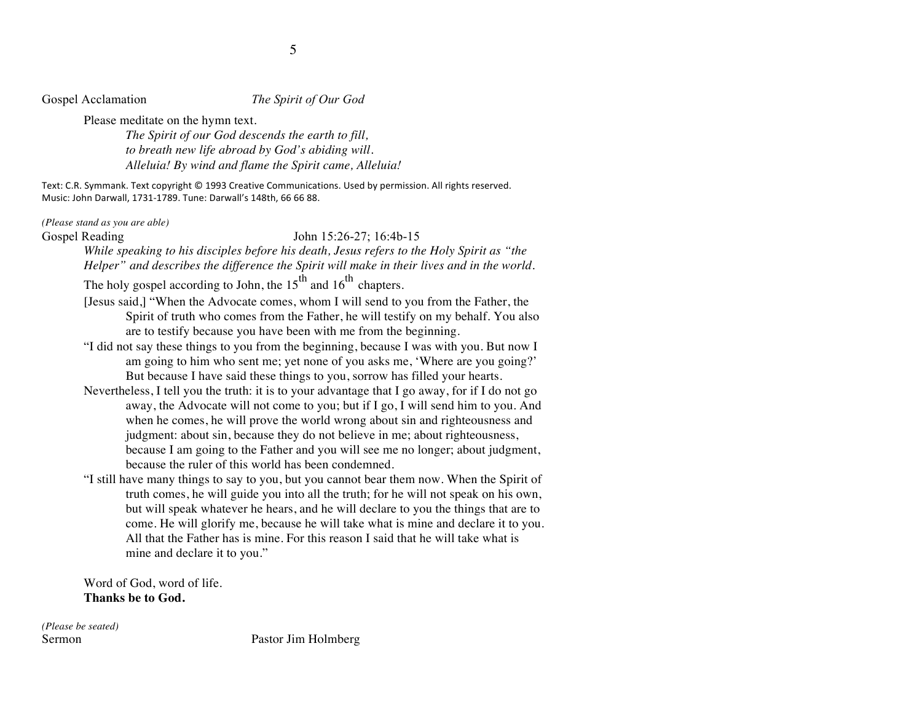#### Gospel Acclamation *The Spirit of Our God*

Please meditate on the hymn text.

*The Spirit of our God descends the earth to fill, to breath new life abroad by God's abiding will. Alleluia! By wind and flame the Spirit came, Alleluia!*

Text: C.R. Symmank. Text copyright © 1993 Creative Communications. Used by permission. All rights reserved. Music: John Darwall, 1731-1789. Tune: Darwall's 148th, 66 66 88.

*(Please stand as you are able)*

Gospel Reading John 15:26-27; 16:4b-15 *While speaking to his disciples before his death, Jesus refers to the Holy Spirit as "the Helper" and describes the difference the Spirit will make in their lives and in the world.*

The holy gospel according to John, the  $15<sup>th</sup>$  and  $16<sup>th</sup>$  chapters.

- [Jesus said,] "When the Advocate comes, whom I will send to you from the Father, the Spirit of truth who comes from the Father, he will testify on my behalf. You also are to testify because you have been with me from the beginning.
- "I did not say these things to you from the beginning, because I was with you. But now I am going to him who sent me; yet none of you asks me, 'Where are you going?' But because I have said these things to you, sorrow has filled your hearts.
- Nevertheless, I tell you the truth: it is to your advantage that I go away, for if I do not go away, the Advocate will not come to you; but if I go, I will send him to you. And when he comes, he will prove the world wrong about sin and righteousness and judgment: about sin, because they do not believe in me; about righteousness, because I am going to the Father and you will see me no longer; about judgment, because the ruler of this world has been condemned.
- "I still have many things to say to you, but you cannot bear them now. When the Spirit of truth comes, he will guide you into all the truth; for he will not speak on his own, but will speak whatever he hears, and he will declare to you the things that are to come. He will glorify me, because he will take what is mine and declare it to you. All that the Father has is mine. For this reason I said that he will take what is mine and declare it to you."

Word of God, word of life. **Thanks be to God.**

*(Please be seated)*

Sermon Pastor Jim Holmberg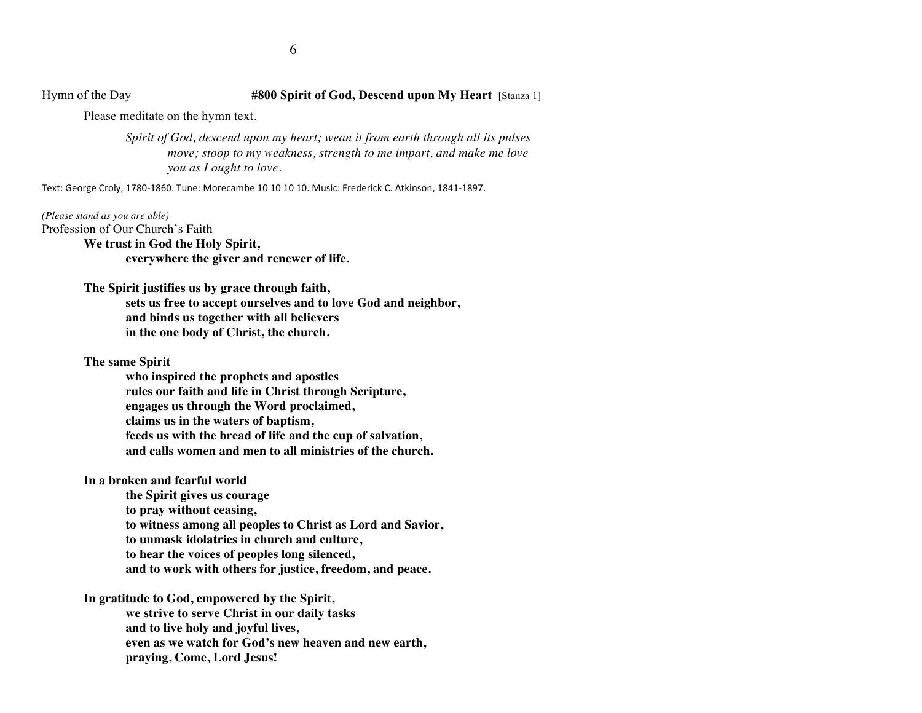#### Hymn of the Day **#800 Spirit of God, Descend upon My Heart** [Stanza 1]

Please meditate on the hymn text.

*Spirit of God, descend upon my heart; wean it from earth through all its pulses move; stoop to my weakness, strength to me impart, and make me love you as I ought to love.*

Text: George Croly, 1780-1860. Tune: Morecambe 10 10 10 10. Music: Frederick C. Atkinson, 1841-1897.

*(Please stand as you are able)*

Profession of Our Church's Faith

**We trust in God the Holy Spirit,** 

**everywhere the giver and renewer of life.**

**The Spirit justifies us by grace through faith, sets us free to accept ourselves and to love God and neighbor, and binds us together with all believers in the one body of Christ, the church.**

**The same Spirit**

**who inspired the prophets and apostles rules our faith and life in Christ through Scripture, engages us through the Word proclaimed, claims us in the waters of baptism, feeds us with the bread of life and the cup of salvation, and calls women and men to all ministries of the church.**

**In a broken and fearful world**

**the Spirit gives us courage to pray without ceasing, to witness among all peoples to Christ as Lord and Savior, to unmask idolatries in church and culture, to hear the voices of peoples long silenced, and to work with others for justice, freedom, and peace.**

**In gratitude to God, empowered by the Spirit, we strive to serve Christ in our daily tasks and to live holy and joyful lives, even as we watch for God's new heaven and new earth, praying, Come, Lord Jesus!**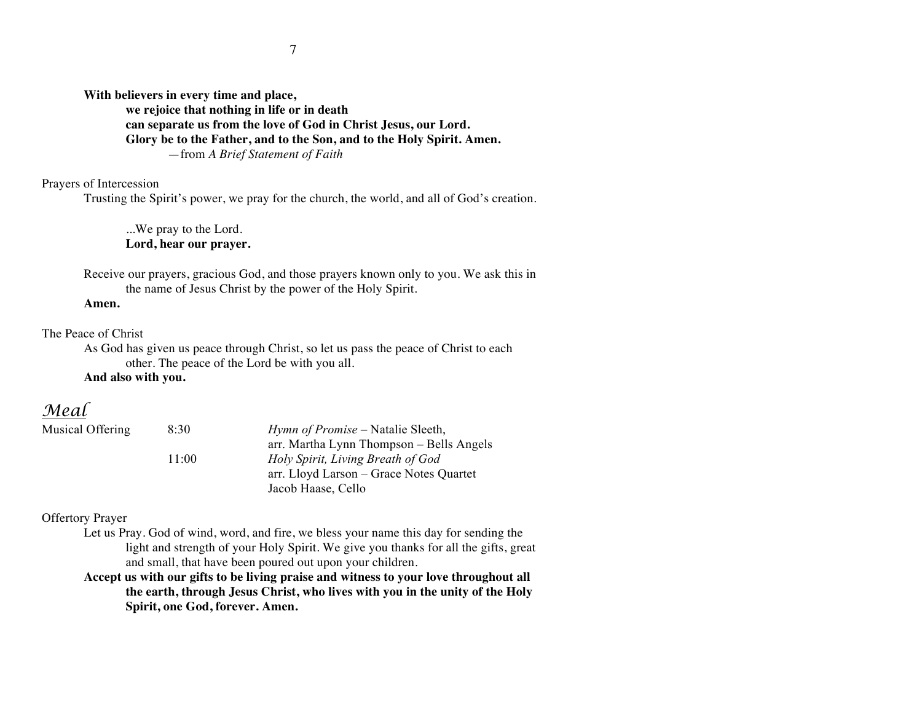**With believers in every time and place, we rejoice that nothing in life or in death can separate us from the love of God in Christ Jesus, our Lord. Glory be to the Father, and to the Son, and to the Holy Spirit. Amen.** —from *A Brief Statement of Faith*

## Prayers of Intercession

Trusting the Spirit's power, we pray for the church, the world, and all of God's creation.

...We pray to the Lord. **Lord, hear our prayer.**

Receive our prayers, gracious God, and those prayers known only to you. We ask this in the name of Jesus Christ by the power of the Holy Spirit.

#### **Amen.**

#### The Peace of Christ

As God has given us peace through Christ, so let us pass the peace of Christ to each other. The peace of the Lord be with you all.

## **And also with you.**

# *Meal*

| Musical Offering | 8:30  | <i>Hymn of Promise</i> – Natalie Sleeth, |
|------------------|-------|------------------------------------------|
|                  |       | arr. Martha Lynn Thompson – Bells Angels |
|                  | 11:00 | Holy Spirit, Living Breath of God        |
|                  |       | arr. Lloyd Larson – Grace Notes Quartet  |
|                  |       | Jacob Haase, Cello                       |

#### Offertory Prayer

- Let us Pray. God of wind, word, and fire, we bless your name this day for sending the light and strength of your Holy Spirit. We give you thanks for all the gifts, great and small, that have been poured out upon your children.
- **Accept us with our gifts to be living praise and witness to your love throughout all the earth, through Jesus Christ, who lives with you in the unity of the Holy Spirit, one God, forever. Amen.**